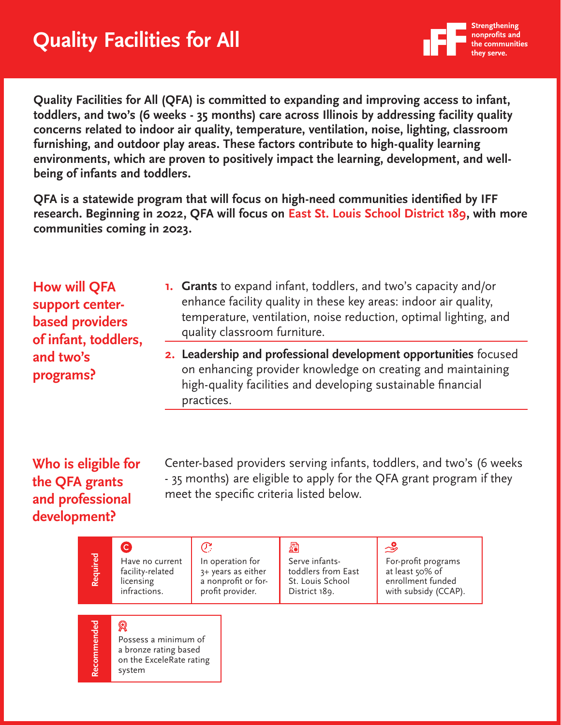

**Quality Facilities for All (QFA) is committed to expanding and improving access to infant, toddlers, and two's (6 weeks - 35 months) care across Illinois by addressing facility quality concerns related to indoor air quality, temperature, ventilation, noise, lighting, classroom furnishing, and outdoor play areas. These factors contribute to high-quality learning environments, which are proven to positively impact the learning, development, and wellbeing of infants and toddlers.**

**QFA is a statewide program that will focus on high-need communities identified by IFF research. Beginning in 2022, QFA will focus on East St. Louis School District 189, with more communities coming in 2023.** 

| <b>How will QFA</b><br>support center-<br><b>based providers</b><br>of infant, toddlers,<br>and two's<br>programs? | <b>1.</b> Grants to expand infant, toddlers, and two's capacity and/or<br>enhance facility quality in these key areas: indoor air quality,<br>temperature, ventilation, noise reduction, optimal lighting, and<br>quality classroom furniture. |
|--------------------------------------------------------------------------------------------------------------------|------------------------------------------------------------------------------------------------------------------------------------------------------------------------------------------------------------------------------------------------|
|                                                                                                                    | 2. Leadership and professional development opportunities focused<br>on enhancing provider knowledge on creating and maintaining<br>high-quality facilities and developing sustainable financial<br>practices.                                  |

## **Who is eligible for the QFA grants and professional development?**

Center-based providers serving infants, toddlers, and two's (6 weeks - 35 months) are eligible to apply for the QFA grant program if they meet the specific criteria listed below.

| Required    | Have no current<br>facility-related<br>licensing<br>infractions.                         | C<br>In operation for<br>3+ years as either<br>a nonprofit or for-<br>profit provider. | 履<br>Serve infants-<br>toddlers from East<br>St. Louis School<br>District 189. | ৺<br>For-profit programs<br>at least 50% of<br>enrollment funded<br>with subsidy (CCAP). |
|-------------|------------------------------------------------------------------------------------------|----------------------------------------------------------------------------------------|--------------------------------------------------------------------------------|------------------------------------------------------------------------------------------|
| Recommended | Я<br>Possess a minimum of<br>a bronze rating based<br>on the ExceleRate rating<br>system |                                                                                        |                                                                                |                                                                                          |